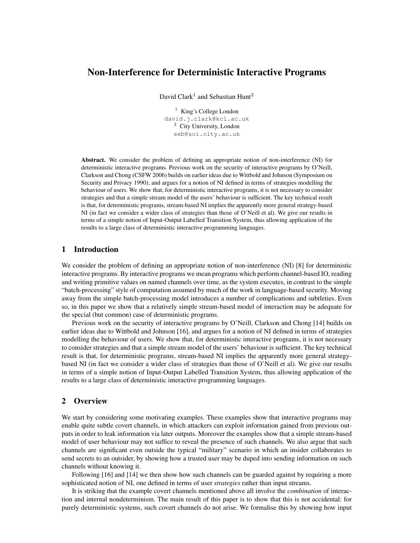# Non-Interference for Deterministic Interactive Programs

David Clark<sup>1</sup> and Sebastian Hunt<sup>2</sup>

 $<sup>1</sup>$  King's College London</sup> david.j.clark@kcl.ac.uk <sup>2</sup> City University, London seb@soi.city.ac.uk

Abstract. We consider the problem of defining an appropriate notion of non-interference (NI) for deterministic interactive programs. Previous work on the security of interactive programs by O'Neill, Clarkson and Chong (CSFW 2006) builds on earlier ideas due to Wittbold and Johnson (Symposium on Security and Privacy 1990), and argues for a notion of NI defined in terms of strategies modelling the behaviour of users. We show that, for deterministic interactive programs, it is not necessary to consider strategies and that a simple stream model of the users' behaviour is sufficient. The key technical result is that, for deterministic programs, stream-based NI implies the apparently more general strategy-based NI (in fact we consider a wider class of strategies than those of O'Neill et al). We give our results in terms of a simple notion of Input-Output Labelled Transition System, thus allowing application of the results to a large class of deterministic interactive programming languages.

## 1 Introduction

We consider the problem of defining an appropriate notion of non-interference (NI) [8] for deterministic interactive programs. By interactive programs we mean programs which perform channel-based IO, reading and writing primitive values on named channels over time, as the system executes, in contrast to the simple "batch-processing" style of computation assumed by much of the work in language-based security. Moving away from the simple batch-processing model introduces a number of complications and subtleties. Even so, in this paper we show that a relatively simple stream-based model of interaction may be adequate for the special (but common) case of deterministic programs.

Previous work on the security of interactive programs by O'Neill, Clarkson and Chong [14] builds on earlier ideas due to Wittbold and Johnson [16], and argues for a notion of NI defined in terms of strategies modelling the behaviour of users. We show that, for deterministic interactive programs, it is not necessary to consider strategies and that a simple stream model of the users' behaviour is sufficient. The key technical result is that, for deterministic programs, stream-based NI implies the apparently more general strategybased NI (in fact we consider a wider class of strategies than those of O'Neill et al). We give our results in terms of a simple notion of Input-Output Labelled Transition System, thus allowing application of the results to a large class of deterministic interactive programming languages.

## 2 Overview

We start by considering some motivating examples. These examples show that interactive programs may enable quite subtle covert channels, in which attackers can exploit information gained from previous outputs in order to leak information via later outputs. Moreover the examples show that a simple stream-based model of user behaviour may not suffice to reveal the presence of such channels. We also argue that such channels are significant even outside the typical "military" scenario in which an insider collaborates to send secrets to an outsider, by showing how a trusted user may be duped into sending information on such channels without knowing it.

Following [16] and [14] we then show how such channels can be guarded against by requiring a more sophisticated notion of NI, one defined in terms of user *strategies* rather than input streams.

It is striking that the example covert channels mentioned above all involve the *combination* of interaction and internal nondeterminism. The main result of this paper is to show that this is not accidental: for purely deterministic systems, such covert channels do not arise. We formalise this by showing how input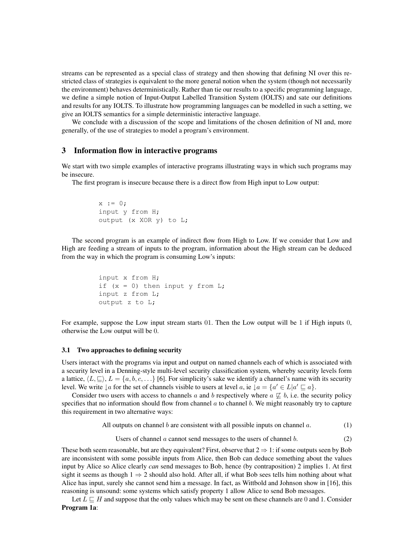streams can be represented as a special class of strategy and then showing that defining NI over this restricted class of strategies is equivalent to the more general notion when the system (though not necessarily the environment) behaves deterministically. Rather than tie our results to a specific programming language, we define a simple notion of Input-Output Labelled Transition System (IOLTS) and sate our definitions and results for any IOLTS. To illustrate how programming languages can be modelled in such a setting, we give an IOLTS semantics for a simple deterministic interactive language.

We conclude with a discussion of the scope and limitations of the chosen definition of NI and, more generally, of the use of strategies to model a program's environment.

## 3 Information flow in interactive programs

We start with two simple examples of interactive programs illustrating ways in which such programs may be insecure.

The first program is insecure because there is a direct flow from High input to Low output:

```
x := 0;input y from H;
output (x XOR y) to L;
```
The second program is an example of indirect flow from High to Low. If we consider that Low and High are feeding a stream of inputs to the program, information about the High stream can be deduced from the way in which the program is consuming Low's inputs:

```
input x from H;
if (x = 0) then input y from L;
input z from L;
output z to L;
```
For example, suppose the Low input stream starts 01. Then the Low output will be 1 if High inputs 0, otherwise the Low output will be 0.

#### 3.1 Two approaches to defining security

Users interact with the programs via input and output on named channels each of which is associated with a security level in a Denning-style multi-level security classification system, whereby security levels form a lattice,  $\langle L, \square \rangle$ ,  $L = \{a, b, c, \dots\}$  [6]. For simplicity's sake we identify a channel's name with its security level. We write  $\downarrow a$  for the set of channels visible to users at level  $a$ , ie  $\downarrow a = \{a' \in L | a' \sqsubseteq a\}.$ 

Consider two users with access to channels a and b respectively where  $a \not\sqsubseteq b$ , i.e. the security policy specifies that no information should flow from channel  $a$  to channel  $b$ . We might reasonably try to capture this requirement in two alternative ways:

All outputs on channel b are consistent with all possible inputs on channel  $a$ .  $(1)$ 

Users of channel  $\alpha$  cannot send messages to the users of channel  $\beta$ . (2)

These both seem reasonable, but are they equivalent? First, observe that  $2 \Rightarrow 1$ : if some outputs seen by Bob are inconsistent with some possible inputs from Alice, then Bob can deduce something about the values input by Alice so Alice clearly *can* send messages to Bob, hence (by contraposition) 2 implies 1. At first sight it seems as though  $1 \Rightarrow 2$  should also hold. After all, if what Bob sees tells him nothing about what Alice has input, surely she cannot send him a message. In fact, as Wittbold and Johnson show in [16], this reasoning is unsound: some systems which satisfy property 1 allow Alice to send Bob messages.

Let  $L \sqsubset H$  and suppose that the only values which may be sent on these channels are 0 and 1. Consider Program 1a: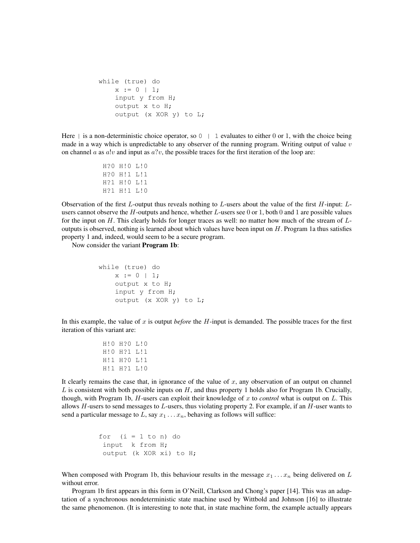```
while (true) do
   x := 0 | 1;input y from H;
    output x to H;
    output (x XOR y) to L;
```
Here  $\vert$  is a non-deterministic choice operator, so  $0 \vert 1$  evaluates to either 0 or 1, with the choice being made in a way which is unpredictable to any observer of the running program. Writing output of value  $v$ on channel a as  $a!v$  and input as  $a?v$ , the possible traces for the first iteration of the loop are:

```
H?0 H!0 L!0
H?0 H!1 L!1
H?1 H!0 L!1
H?1 H!1 L!0
```
Observation of the first  $L$ -output thus reveals nothing to  $L$ -users about the value of the first  $H$ -input:  $L$ users cannot observe the  $H$ -outputs and hence, whether  $L$ -users see 0 or 1, both 0 and 1 are possible values for the input on  $H$ . This clearly holds for longer traces as well: no matter how much of the stream of  $L$ outputs is observed, nothing is learned about which values have been input on  $H$ . Program 1a thus satisfies property 1 and, indeed, would seem to be a secure program.

Now consider the variant Program 1b:

```
while (true) do
   x := 0 | 1;output x to H;
    input y from H;
    output (x XOR y) to L;
```
In this example, the value of x is output *before* the H-input is demanded. The possible traces for the first iteration of this variant are:

```
H!0 H?0 L!0
H!0 H?1 L!1
H!1 H?0 L!1
H!1 H?1 L!0
```
It clearly remains the case that, in ignorance of the value of  $x$ , any observation of an output on channel  $L$  is consistent with both possible inputs on  $H$ , and thus property 1 holds also for Program 1b. Crucially, though, with Program 1b, H-users can exploit their knowledge of x to *control* what is output on L. This allows  $H$ -users to send messages to  $L$ -users, thus violating property 2. For example, if an  $H$ -user wants to send a particular message to L, say  $x_1 \ldots x_n$ , behaving as follows will suffice:

```
for (i = 1 to n) do
input k from H;
output (k XOR xi) to H;
```
When composed with Program 1b, this behaviour results in the message  $x_1 \ldots x_n$  being delivered on L without error.

Program 1b first appears in this form in O'Neill, Clarkson and Chong's paper [14]. This was an adaptation of a synchronous nondeterministic state machine used by Wittbold and Johnson [16] to illustrate the same phenomenon. (It is interesting to note that, in state machine form, the example actually appears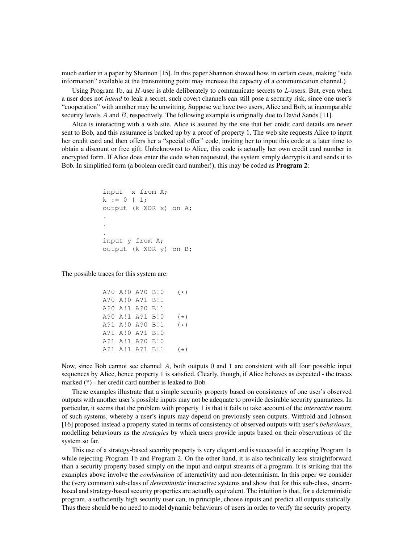much earlier in a paper by Shannon [15]. In this paper Shannon showed how, in certain cases, making "side information" available at the transmitting point may increase the capacity of a communication channel.)

Using Program 1b, an  $H$ -user is able deliberately to communicate secrets to  $L$ -users. But, even when a user does not *intend* to leak a secret, such covert channels can still pose a security risk, since one user's "cooperation" with another may be unwitting. Suppose we have two users, Alice and Bob, at incomparable security levels  $A$  and  $B$ , respectively. The following example is originally due to David Sands [11].

Alice is interacting with a web site. Alice is assured by the site that her credit card details are never sent to Bob, and this assurance is backed up by a proof of property 1. The web site requests Alice to input her credit card and then offers her a "special offer" code, inviting her to input this code at a later time to obtain a discount or free gift. Unbeknownst to Alice, this code is actually her own credit card number in encrypted form. If Alice does enter the code when requested, the system simply decrypts it and sends it to Bob. In simplified form (a boolean credit card number!), this may be coded as **Program 2**:

```
input x from A;
k := 0 | 1;output (k XOR x) on A;
.
.
.
input y from A;
output (k XOR y) on B;
```
The possible traces for this system are:

|  | A?O A!O A?O B!O | $(\star)$ |
|--|-----------------|-----------|
|  | A?0 A!0 A?1 B!1 |           |
|  | A?O A!1 A?O B!1 |           |
|  | A?0 A!1 A?1 B!0 | $(\star)$ |
|  | A?1 A!O A?O B!1 | $(\star)$ |
|  | A?1 A!O A?1 B!O |           |
|  | A?1 A!1 A?0 B!0 |           |
|  | A?1 A!1 A?1 B!1 | $(\star)$ |
|  |                 |           |

Now, since Bob cannot see channel  $A$ , both outputs 0 and 1 are consistent with all four possible input sequences by Alice, hence property 1 is satisfied. Clearly, though, if Alice behaves as expected - the traces marked (\*) - her credit card number is leaked to Bob.

These examples illustrate that a simple security property based on consistency of one user's observed outputs with another user's possible inputs may not be adequate to provide desirable security guarantees. In particular, it seems that the problem with property 1 is that it fails to take account of the *interactive* nature of such systems, whereby a user's inputs may depend on previously seen outputs. Wittbold and Johnson [16] proposed instead a property stated in terms of consistency of observed outputs with user's *behaviours*, modelling behaviours as the *strategies* by which users provide inputs based on their observations of the system so far.

This use of a strategy-based security property is very elegant and is successful in accepting Program 1a while rejecting Program 1b and Program 2. On the other hand, it is also technically less straightforward than a security property based simply on the input and output streams of a program. It is striking that the examples above involve the *combination* of interactivity and non-determinism. In this paper we consider the (very common) sub-class of *deterministic* interactive systems and show that for this sub-class, streambased and strategy-based security properties are actually equivalent. The intuition is that, for a deterministic program, a sufficiently high security user can, in principle, choose inputs and predict all outputs statically. Thus there should be no need to model dynamic behaviours of users in order to verify the security property.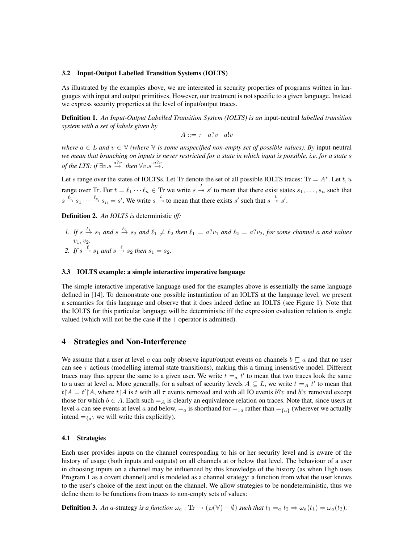#### 3.2 Input-Output Labelled Transition Systems (IOLTS)

As illustrated by the examples above, we are interested in security properties of programs written in languages with input and output primitives. However, our treatment is not specific to a given language. Instead we express security properties at the level of input/output traces.

Definition 1. *An Input-Output Labelled Transition System (IOLTS) is an* input-neutral *labelled transition system with a set of labels given by*

$$
A ::= \tau \mid a?v \mid a!v
$$

*where*  $a \in L$  *and*  $v \in V$  *(where* V *is some unspecified non-empty set of possible values). By* input-neutral *we mean that branching on inputs is never restricted for a state in which input is possible, i.e. for a state* s  $of the LTS: if \exists v.s \stackrel{a?v}{\rightarrow} then \forall v.s \stackrel{a?v}{\rightarrow}.$ 

Let s range over the states of IOLTSs. Let Tr denote the set of all possible IOLTS traces:  $Tr = A^*$ . Let t, u range over Tr. For  $t = \ell_1 \cdots \ell_n \in \text{Tr}$  we write  $s \stackrel{t}{\rightarrow} s'$  to mean that there exist states  $s_1, \ldots, s_n$  such that  $s \xrightarrow{\ell_1} s_1 \cdots \xrightarrow{\ell_n} s_n = s'$ . We write  $s \xrightarrow{t}$  to mean that there exists s' such that  $s \xrightarrow{t} s'$ .

Definition 2. *An IOLTS is* deterministic *iff:*

1. If  $s \stackrel{\ell_1}{\to} s_1$  and  $s \stackrel{\ell_2}{\to} s_2$  and  $\ell_1 \neq \ell_2$  then  $\ell_1 = a?v_1$  and  $\ell_2 = a?v_2$ , for some channel a and values v1, v2*.* 2. If  $s \stackrel{\ell}{\rightarrow} s_1$  and  $s \stackrel{\ell}{\rightarrow} s_2$  then  $s_1 = s_2$ .

### 3.3 IOLTS example: a simple interactive imperative language

The simple interactive imperative language used for the examples above is essentially the same language defined in [14]. To demonstrate one possible instantiation of an IOLTS at the language level, we present a semantics for this language and observe that it does indeed define an IOLTS (see Figure 1). Note that the IOLTS for this particular language will be deterministic iff the expression evaluation relation is single valued (which will not be the case if the | operator is admitted).

## 4 Strategies and Non-Interference

We assume that a user at level a can only observe input/output events on channels  $b \sqsubseteq a$  and that no user can see  $\tau$  actions (modelling internal state transitions), making this a timing insensitive model. Different traces may thus appear the same to a given user. We write  $t = a$  t' to mean that two traces look the same to a user at level a. More generally, for a subset of security levels  $A \subseteq L$ , we write  $t =_A t'$  to mean that  $t \upharpoonright A = t' \upharpoonright A$ , where  $t \upharpoonright A$  is t with all  $\tau$  events removed and with all IO events  $b$ ?v and  $b$ !v removed except those for which  $b \in A$ . Each such  $a \neq A$  is clearly an equivalence relation on traces. Note that, since users at level a can see events at level a and below,  $=$ <sub>a</sub> is shorthand for  $=$ <sub>la</sub> rather than  $=$ <sub>{a}</sub> (wherever we actually intend  $=_{\{a\}}$  we will write this explicitly).

#### 4.1 Strategies

Each user provides inputs on the channel corresponding to his or her security level and is aware of the history of usage (both inputs and outputs) on all channels at or below that level. The behaviour of a user in choosing inputs on a channel may be influenced by this knowledge of the history (as when High uses Program 1 as a covert channel) and is modeled as a channel strategy: a function from what the user knows to the user's choice of the next input on the channel. We allow strategies to be nondeterministic, thus we define them to be functions from traces to non-empty sets of values:

**Definition 3.** An a-strategy is a function  $\omega_a : \text{Tr} \to (\wp(\mathbb{V}) - \emptyset)$  such that  $t_1 = a$ ,  $t_2 \Rightarrow \omega_a(t_1) = \omega_a(t_2)$ .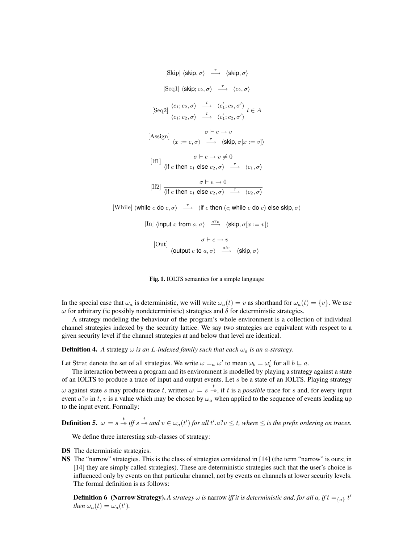$$
[\text{Skip} \ \langle \text{skip}, \sigma \rangle \ \xrightarrow{\tau} \ \langle \text{skip}, \sigma \rangle
$$
\n
$$
[\text{Seq1}] \ \langle \text{skip}, c_2, \sigma \rangle \ \xrightarrow{\tau} \ \langle c_2, \sigma \rangle
$$
\n
$$
[\text{Seq2}] \ \frac{\langle c_1; c_2, \sigma \rangle \ \xrightarrow{l} \ \langle c_1'; c_2, \sigma' \rangle}{\langle c_1; c_2, \sigma \rangle \ \xrightarrow{l} \ \langle c_1'; c_2, \sigma' \rangle} \ l \in A
$$
\n
$$
[\text{Assign}] \ \frac{\sigma \vdash e \to v}{\langle x := e, \sigma \rangle \ \xrightarrow{\tau} \ \langle \text{skip}, \sigma[x := v] \rangle}
$$
\n
$$
[\text{If1}] \ \frac{\sigma \vdash e \to v}{\langle \text{if } e \text{ then } c_1 \text{ else } c_2, \sigma \rangle \ \xrightarrow{\tau} \ \langle c_1, \sigma \rangle}
$$
\n
$$
[\text{If2}] \ \frac{\sigma \vdash e \to 0}{\langle \text{if } e \text{ then } c_1 \text{ else } c_2, \sigma \rangle \ \xrightarrow{\tau} \ \langle c_2, \sigma \rangle}
$$

[While] (while e do  $c, \sigma$ )  $\stackrel{\tau}{\longrightarrow}$  (if e then  $(c;$  while e do c) else skip,  $\sigma$ )

$$
\begin{aligned}\n\text{[In] $\langle \text{input } x \text{ from } a, \sigma \rangle$} &\xrightarrow{a?v} \langle \text{skip}, \sigma[x := v] \rangle \\
\text{[Out] } &\xrightarrow{\sigma \vdash e \to v} \langle \text{output } e \text{ to } a, \sigma \rangle \xrightarrow{a!v} \langle \text{skip}, \sigma \rangle\n\end{aligned}
$$



In the special case that  $\omega_a$  is deterministic, we will write  $\omega_a(t) = v$  as shorthand for  $\omega_a(t) = \{v\}$ . We use  $\omega$  for arbitrary (ie possibly nondeterministic) strategies and  $\delta$  for deterministic strategies.

A strategy modeling the behaviour of the program's whole environment is a collection of individual channel strategies indexed by the security lattice. We say two strategies are equivalent with respect to a given security level if the channel strategies at and below that level are identical.

**Definition 4.** A strategy  $\omega$  *is an L-indexed family such that each*  $\omega_a$  *is an a-strategy.* 

Let Strat denote the set of all strategies. We write  $\omega =_a \omega'$  to mean  $\omega_b = \omega'_b$  for all  $b \sqsubseteq a$ .

The interaction between a program and its environment is modelled by playing a strategy against a state of an IOLTS to produce a trace of input and output events. Let s be a state of an IOLTS. Playing strategy  $\omega$  against state s may produce trace t, written  $\omega \models s \stackrel{t}{\rightarrow}$ , if t is a *possible* trace for s and, for every input event  $a$ ?v in t, v is a value which may be chosen by  $\omega_a$  when applied to the sequence of events leading up to the input event. Formally:

**Definition 5.**  $\omega \models s \stackrel{t}{\rightarrow} iff s \stackrel{t}{\rightarrow} and v \in \omega_a(t')$  for all  $t'.a?v \leq t$ , where  $\leq$  is the prefix ordering on traces.

We define three interesting sub-classes of strategy:

- DS The deterministic strategies.
- NS The "narrow" strategies. This is the class of strategies considered in [14] (the term "narrow" is ours; in [14] they are simply called strategies). These are deterministic strategies such that the user's choice is influenced only by events on that particular channel, not by events on channels at lower security levels. The formal definition is as follows:

**Definition 6** (Narrow Strategy). A strategy  $\omega$  is narrow iff it is deterministic and, for all a, if  $t = \{a\}$  t' *then*  $\omega_a(t) = \omega_a(t')$ .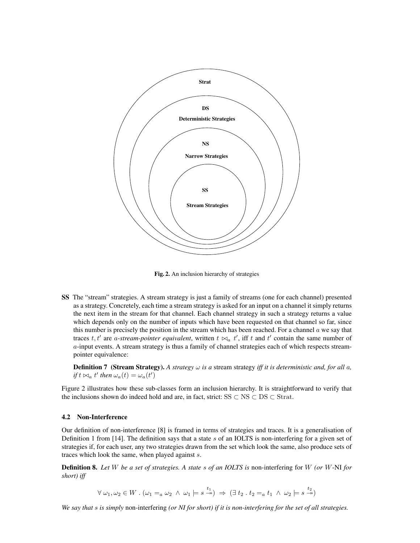

Fig. 2. An inclusion hierarchy of strategies

SS The "stream" strategies. A stream strategy is just a family of streams (one for each channel) presented as a strategy. Concretely, each time a stream strategy is asked for an input on a channel it simply returns the next item in the stream for that channel. Each channel strategy in such a strategy returns a value which depends only on the number of inputs which have been requested on that channel so far, since this number is precisely the position in the stream which has been reached. For a channel  $\alpha$  we say that traces  $t, t'$  are a-*stream-pointer equivalent*, written  $t \bowtie_a t'$ , iff  $t$  and  $t'$  contain the same number of a-input events. A stream strategy is thus a family of channel strategies each of which respects streampointer equivalence:

**Definition 7** (Stream Strategy). A strategy  $\omega$  is a stream strategy *iff it is deterministic and, for all a, if*  $t \bowtie_a t'$  then  $\omega_a(t) = \omega_a(t')$ 

Figure 2 illustrates how these sub-classes form an inclusion hierarchy. It is straightforward to verify that the inclusions shown do indeed hold and are, in fact, strict:  $SS \subset NS \subset DS \subset Start$ .

#### 4.2 Non-Interference

Our definition of non-interference [8] is framed in terms of strategies and traces. It is a generalisation of Definition 1 from  $[14]$ . The definition says that a state s of an IOLTS is non-interfering for a given set of strategies if, for each user, any two strategies drawn from the set which look the same, also produce sets of traces which look the same, when played against s.

Definition 8. *Let* W *be a set of strategies. A state* s *of an IOLTS is* non-interfering for W *(or* W-NI *for short) iff*

 $\forall \omega_1, \omega_2 \in W$  .  $(\omega_1 =_a \omega_2 \ \land \ \omega_1 \models s \stackrel{t_1}{\twoheadrightarrow}) \ \Rightarrow \ (\exists \ t_2 \ . \ t_2 =_a t_1 \ \land \ \omega_2 \models s \stackrel{t_2}{\twoheadrightarrow})$ 

*We say that* s *is simply* non-interfering *(or NI for short) if it is non-interfering for the set of all strategies.*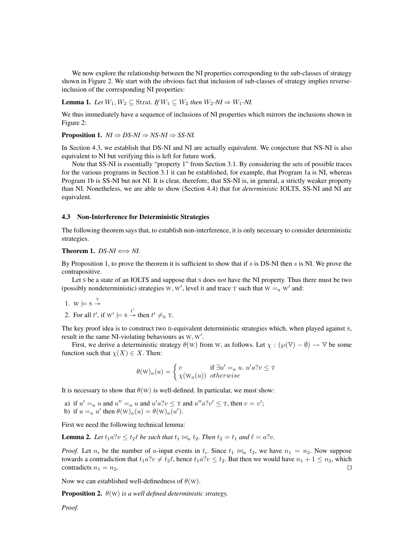We now explore the relationship between the NI properties corresponding to the sub-classes of strategy shown in Figure 2. We start with the obvious fact that inclusion of sub-classes of strategy implies reverseinclusion of the corresponding NI properties:

**Lemma 1.** *Let*  $W_1, W_2$  ⊆ Strat. *If*  $W_1$  ⊆  $W_2$  *then*  $W_2$ *-NI* ⇒  $W_1$ *-NI*.

We thus immediately have a sequence of inclusions of NI properties which mirrors the inclusions shown in Figure 2:

**Proposition 1.**  $NI \Rightarrow DS-NI \Rightarrow NS-NI \Rightarrow SS-NI$ .

In Section 4.3, we establish that DS-NI and NI are actually equivalent. We conjecture that NS-NI is also equivalent to NI but verifying this is left for future work.

Note that SS-NI is essentially "property 1" from Section 3.1. By considering the sets of possible traces for the various programs in Section 3.1 it can be established, for example, that Program 1a is NI, whereas Program 1b is SS-NI but not NI. It is clear, therefore, that SS-NI is, in general, a strictly weaker property than NI. Nonetheless, we are able to show (Section 4.4) that for *deterministic* IOLTS, SS-NI and NI are equivalent.

#### 4.3 Non-Interference for Deterministic Strategies

The following theorem says that, to establish non-interference, it is only necessary to consider deterministic strategies.

#### **Theorem 1.**  $DS-NI \Longleftrightarrow NI$ .

By Proposition 1, to prove the theorem it is sufficient to show that if  $s$  is DS-NI then  $s$  is NI. We prove the contrapositive.

Let s be a state of an IOLTS and suppose that s does *not* have the NI property. Thus there must be two (possibly nondeterministic) strategies W, W', level B and trace T such that  $W = B W'$  and:

1. 
$$
W \models S \stackrel{T}{\twoheadrightarrow}
$$

2. For all t', if  $W' \models s \stackrel{t'}{\rightarrow}$  then  $t' \neq_B T$ .

The key proof idea is to construct two B-equivalent deterministic strategies which, when played against s, result in the same NI-violating behaviours as  $w, w'$ .

First, we derive a deterministic strategy  $\theta(w)$  from w, as follows. Let  $\chi : (\varphi(\mathbb{V}) - \emptyset) \to \mathbb{V}$  be some function such that  $\chi(X) \in X$ . Then:

$$
\theta(\mathbf{W})_a(u) = \begin{cases} v & \text{if } \exists u' =_a u. \ u'a?v \leq \mathbf{T} \\ \chi(\mathbf{W}_a(u)) & otherwise \end{cases}
$$

It is necessary to show that  $\theta(w)$  is well-defined. In particular, we must show:

a) if  $u' =_a u$  and  $u'' =_a u$  and  $u'a?v \leq T$  and  $u''a?v' \leq T$ , then  $v = v'$ ; b) if  $u =_a u'$  then  $\theta(w)_a(u) = \theta(w)_a(u')$ .

First we need the following technical lemma:

**Lemma 2.** Let  $t_1 a? v \leq t_2 \ell$  be such that  $t_1 \bowtie_a t_2$ . Then  $t_2 = t_1$  and  $\ell = a? v$ .

*Proof.* Let  $n_i$  be the number of a-input events in  $t_i$ . Since  $t_1 \bowtie_a t_2$ , we have  $n_1 = n_2$ . Now suppose towards a contradiction that  $t_1a?v \neq t_2\ell$ , hence  $t_1a?v \leq t_2$ . But then we would have  $n_1 + 1 \leq n_2$ , which contradicts  $n_1 = n_2$ .

Now we can established well-definedness of  $\theta(w)$ .

**Proposition 2.**  $\theta(w)$  *is a well defined deterministic strategy.* 

*Proof.*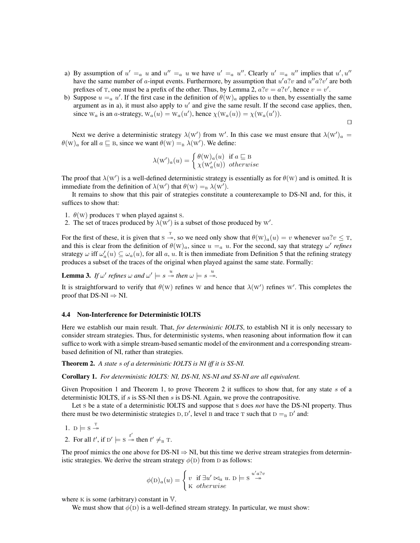- a) By assumption of  $u' =_a u$  and  $u'' =_a u$  we have  $u' =_a u''$ . Clearly  $u' =_a u''$  implies that  $u', u''$ have the same number of a-input events. Furthermore, by assumption that  $u'a?v$  and  $u''a?v'$  are both prefixes of T, one must be a prefix of the other. Thus, by Lemma 2,  $a$ ? $v = a$ ? $v'$ , hence  $v = v'$ .
- b) Suppose  $u =_a u'$ . If the first case in the definition of  $\theta(w)_a$  applies to u then, by essentially the same argument as in a), it must also apply to  $u'$  and give the same result. If the second case applies, then, since  $W_a$  is an a-strategy,  $W_a(u) = W_a(u')$ , hence  $\chi(W_a(u)) = \chi(W_a(u'))$ .

 $\Box$ 

Next we derive a deterministic strategy  $\lambda(w')$  from w'. In this case we must ensure that  $\lambda(w')_a$  =  $\theta(w)_a$  for all  $a \sqsubseteq B$ , since we want  $\theta(w) = B \lambda(w')$ . We define:

$$
\lambda(\mathbf{w}')_a(u) = \begin{cases} \theta(\mathbf{w})_a(u) & \text{if } a \subseteq \mathbf{B} \\ \chi(\mathbf{w}'_a(u)) & otherwise \end{cases}
$$

The proof that  $\lambda(w')$  is a well-defined deterministic strategy is essentially as for  $\theta(w)$  and is omitted. It is immediate from the definition of  $\lambda(w')$  that  $\theta(w) =_{B} \lambda(w')$ .

It remains to show that this pair of strategies constitute a counterexample to DS-NI and, for this, it suffices to show that:

- 1.  $\theta$ (w) produces T when played against s.
- 2. The set of traces produced by  $\lambda(w')$  is a subset of those produced by w'.

For the first of these, it is given that  $s \stackrel{T}{\rightarrow}$ , so we need only show that  $\theta(w)_a(u) = v$  whenever  $ua?v \leq T$ , and this is clear from the definition of  $\theta(w)_a$ , since  $u =_a u$ . For the second, say that strategy  $\omega'$  refines strategy  $\omega$  iff  $\omega'_a(u) \subseteq \omega_a(u)$ , for all a, u. It is then immediate from Definition 5 that the refining strategy produces a subset of the traces of the original when played against the same state. Formally:

**Lemma 3.** If  $\omega'$  refines  $\omega$  and  $\omega' \models s \stackrel{u}{\rightarrow} then \omega \models s \stackrel{u}{\rightarrow}$ .

It is straightforward to verify that  $\theta(w)$  refines w and hence that  $\lambda(w')$  refines w'. This completes the proof that  $DS-NI \Rightarrow NI$ .

#### 4.4 Non-Interference for Deterministic IOLTS

Here we establish our main result. That, *for deterministic IOLTS*, to establish NI it is only necessary to consider stream strategies. Thus, for deterministic systems, when reasoning about information flow it can suffice to work with a simple stream-based semantic model of the environment and a corresponding streambased definition of NI, rather than strategies.

Theorem 2. *A state* s *of a deterministic IOLTS is NI iff it is SS-NI.*

Corollary 1. *For deterministic IOLTS: NI, DS-NI, NS-NI and SS-NI are all equivalent.*

Given Proposition 1 and Theorem 1, to prove Theorem 2 it suffices to show that, for any state s of a deterministic IOLTS, if s is SS-NI then s is DS-NI. Again, we prove the contrapositive.

Let s be a state of a deterministic IOLTS and suppose that s does *not* have the DS-NI property. Thus there must be two deterministic strategies  $D, D'$ , level B and trace T such that  $D =_{B} D'$  and:

1. 
$$
D \models S \stackrel{T}{\twoheadrightarrow}
$$

2. For all t', if  $D' \models s \stackrel{t'}{\rightarrow}$  then  $t' \neq_B T$ .

The proof mimics the one above for  $DS-NI \Rightarrow NI$ , but this time we derive stream strategies from deterministic strategies. We derive the stream strategy  $\phi(D)$  from D as follows:

$$
\phi(D)_a(u) = \begin{cases} v & \text{if } \exists u' \bowtie_a u. \mathbf{D} \models \mathbf{S} \stackrel{u'a?v}{\rightarrow} \\ \mathbf{K} & otherwise \end{cases}
$$

where K is some (arbitrary) constant in  $V$ .

We must show that  $\phi(D)$  is a well-defined stream strategy. In particular, we must show: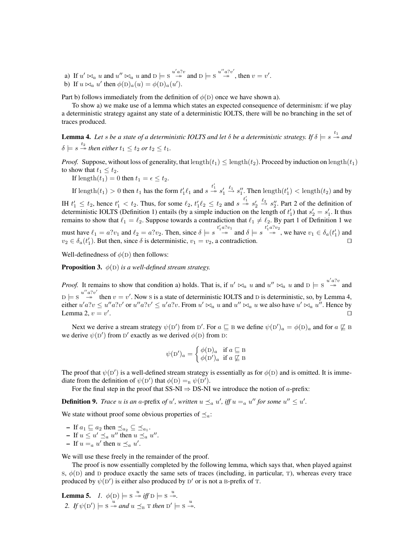a) If  $u' \bowtie_a u$  and  $u'' \bowtie_a u$  and  $D \models S \stackrel{u'a?v}{\rightarrow}$  and  $D \models S \stackrel{u''a?v'}{\rightarrow}$ , then  $v = v'$ . b) If  $u \bowtie_a u'$  then  $\phi(D)_a(u) = \phi(D)_a(u')$ .

Part b) follows immediately from the definition of  $\phi(D)$  once we have shown a).

To show a) we make use of a lemma which states an expected consequence of determinism: if we play a deterministic strategy against any state of a deterministic IOLTS, there will be no branching in the set of traces produced.

**Lemma 4.** Let s be a state of a deterministic IOLTS and let  $\delta$  be a deterministic strategy. If  $\delta \models s \stackrel{t_1}{\rightarrow}$  and  $\delta \models s \stackrel{t_2}{\twoheadrightarrow}$  then either  $t_1 \leq t_2$  or  $t_2 \leq t_1.$ 

*Proof.* Suppose, without loss of generality, that  $\text{length}(t_1) \leq \text{length}(t_2)$ . Proceed by induction on  $\text{length}(t_1)$ to show that  $t_1 \leq t_2$ .

If length $(t_1) = 0$  then  $t_1 = \epsilon \leq t_2$ .

If  $\text{length}(t_1) > 0$  then  $t_1$  has the form  $t_1' \ell_1$  and  $s \stackrel{t_1'}{\rightarrow} s_1'$   $\stackrel{\ell_1}{\rightarrow} s_1''$ . Then  $\text{length}(t_1') < \text{length}(t_2)$  and by IH  $t'_1 \leq t_2$ , hence  $t'_1 < t_2$ . Thus, for some  $\ell_2$ ,  $t'_1 \ell_2 \leq t_2$  and  $s \stackrel{t'_1}{\rightarrow} s'_2 \stackrel{\ell_2}{\rightarrow} s''_2$ . Part 2 of the definition of deterministic IOLTS (Definition 1) entails (by a simple induction on the length of  $t'_1$ ) that  $s'_2 = s'_1$ . It thus remains to show that  $\ell_1 = \ell_2$ . Suppose towards a contradiction that  $\ell_1 \neq \ell_2$ . By part 1 of Definition 1 we

must have  $\ell_1 = a?v_1$  and  $\ell_2 = a?v_2$ . Then, since  $\delta \models s \stackrel{t'_1 a?v_1}{\rightarrow}$  and  $\delta \models s \stackrel{t'_1 a?v_2}{\rightarrow}$ , we have  $v_1 \in \delta_a(t'_1)$  and  $v_2 \in \delta_a(t'_1)$ . But then, since  $\delta$  is deterministic,  $v_1 = v_2$ , a contradiction.

Well-definedness of  $\phi(D)$  then follows:

**Proposition 3.**  $\phi(D)$  *is a well-defined stream strategy.* 

*Proof.* It remains to show that condition a) holds. That is, if  $u' \bowtie_a u$  and  $u'' \bowtie_a u$  and  $D \models S \stackrel{u'a?v}{\rightarrow}$  and d |= s u <sup>00</sup>a?v 0 then v = v 0 . Now s is a state of deterministic IOLTS and d is deterministic, so, by Lemma 4, either  $u'a?v \leq u''a?v'$  or  $u''a?v' \leq u'a?v$ . From  $u' \bowtie_a u$  and  $u'' \bowtie_a u$  we also have  $u' \bowtie_a u''$ . Hence by Lemma 2,  $v = v'$ . The contract of the contract of the contract of the contract of the contract of the contract of the contract of the contract of the contract of the contract of the contract of the contract of the contract of the contract

Next we derive a stream strategy  $\psi(D')$  from D'. For  $a \subseteq B$  we define  $\psi(D')_a = \phi(D)_a$  and for  $a \not\subseteq B$ we derive  $\psi(D')$  from D' exactly as we derived  $\phi(D)$  from D:

$$
\psi(\mathbf{D}')_a = \begin{cases} \phi(\mathbf{D})_a & \text{if } a \subseteq \mathbf{B} \\ \phi(\mathbf{D}')_a & \text{if } a \nsubseteq \mathbf{B} \end{cases}
$$

The proof that  $\psi(\mathbf{D}')$  is a well-defined stream strategy is essentially as for  $\phi(\mathbf{D})$  and is omitted. It is immediate from the definition of  $\psi(D')$  that  $\phi(D) = B \psi(D')$ .

For the final step in the proof that SS-NI  $\Rightarrow$  DS-NI we introduce the notion of a-prefix:

**Definition 9.** *Trace* u is an a-prefix of u', written  $u \preceq_a u'$ , iff  $u =_a u''$  for some  $u'' \leq u'$ .

We state without proof some obvious properties of  $\preceq_a$ :

- If  $a_1 \sqsubseteq a_2$  then  $\preceq_{a_2} \subseteq \preceq_{a_1}$ . - If  $u \leq u' \leq_a u''$  then  $u \leq_a u''$ . - If  $u =_a u'$  then  $u \preceq_a u'$ .

We will use these freely in the remainder of the proof.

The proof is now essentially completed by the following lemma, which says that, when played against s,  $\phi$ (D) and D produce exactly the same sets of traces (including, in particular, T), whereas every trace produced by  $\psi(\mathbf{D}')$  is either also produced by  $\mathbf{D}'$  or is not a B-prefix of T.

**Lemma 5.** *I.* 
$$
\phi(D) \models S \stackrel{u}{\rightarrow} iff D \models S \stackrel{u}{\rightarrow}.
$$
  
*2.*  $If \psi(D') \models S \stackrel{u}{\rightarrow} and u \leq_B T then D' \models S \stackrel{u}{\rightarrow}.$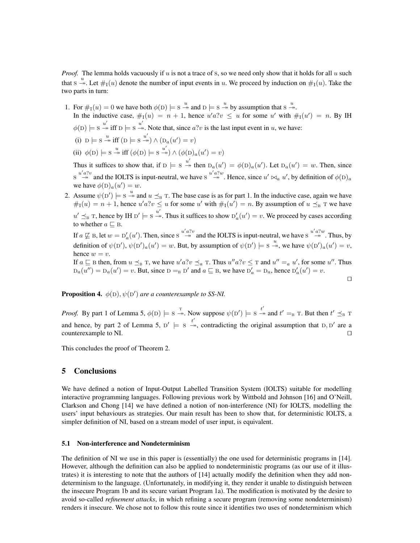*Proof.* The lemma holds vacuously if  $u$  is not a trace of s, so we need only show that it holds for all  $u$  such that  $s \stackrel{u}{\rightarrow}$ . Let  $\#_I(u)$  denote the number of input events in u. We proceed by induction on  $\#_I(u)$ . Take the two parts in turn:

- 1. For  $\#_I(u) = 0$  we have both  $\phi(D) \models s \stackrel{u}{\rightarrow}$  and  $D \models s \stackrel{u}{\rightarrow}$  by assumption that  $s \stackrel{u}{\rightarrow}$ . In the inductive case,  $\#_I(u) = n + 1$ , hence  $u'a?v \leq u$  for some u' with  $\#_I(u') = n$ . By IH  $\phi(D) \models s \stackrel{u'}{\rightarrow} iff D \models s \stackrel{u'}{\rightarrow} Note that, since a?v is the last input event in u, we have:$ 
	- (i)  $D \models S \stackrel{u}{\rightarrow} \text{iff} (D \models S \stackrel{u'}{\rightarrow}) \land (D_a(u') = v)$
	- (ii)  $\phi(D) \models s \stackrel{u}{\rightarrow} \text{iff} (\phi(D) \models s \stackrel{u'}{\rightarrow}) \land (\phi(D)_a(u') = v)$

Thus it suffices to show that, if  $D \models S \stackrel{u'}{\rightarrow}$  then  $D_a(u') = \phi(D)_a(u')$ . Let  $D_a(u') = w$ . Then, since  $s \stackrel{u' a ? v}{\rightarrow}$  and the IOLTS is input-neutral, we have  $s \stackrel{u' a ? w}{\rightarrow}$ . Hence, since  $u' \bowtie_a u'$ , by definition of  $\phi(D)_a$ we have  $\phi(D)_a(u') = w$ .

2. Assume  $\psi(\mathbf{D}') \models \mathbf{S} \stackrel{u}{\rightarrow} \mathbf{and} \ u \preceq_{\mathbf{B}} \mathbf{T}$ . The base case is as for part 1. In the inductive case, again we have  $\#_I(u) = n + 1$ , hence  $u'a?v \leq u$  for some  $u'$  with  $\#_I(u') = n$ . By assumption of  $u \preceq_B T$  we have  $u' \preceq_B T$ , hence by IH  $D' \models S \stackrel{u'}{\rightarrow}$ . Thus it suffices to show  $D'_a(u') = v$ . We proceed by cases according to whether  $a \sqsubseteq B$ .

If  $a \not\sqsubseteq B$ , let  $w = D'_a(u')$ . Then, since  $S \stackrel{u'a?v}{\rightarrow}$  and the IOLTS is input-neutral, we have  $S \stackrel{u'a?w}{\rightarrow}$ . Thus, by definition of  $\psi(\mathbf{D}'), \psi(\mathbf{D}')_a(u') = w$ . But, by assumption of  $\psi(\mathbf{D}') \models \mathbf{S} \stackrel{u}{\rightarrow}$ , we have  $\psi(\mathbf{D}')_a(u') = v$ , hence  $w = v$ .

If  $a \sqsubseteq B$  then, from  $u \preceq_B T$ , we have  $u'a?v \preceq_a T$ . Thus  $u''a?v \leq T$  and  $u'' =_a u'$ , for some  $u''$ . Thus  $D_a(u'') = D_a(u') = v$ . But, since  $D = B D'$  and  $a \sqsubseteq B$ , we have  $D'_a = D_a$ , hence  $D'_a(u') = v$ .

$$
\qquad \qquad \Box
$$

**Proposition 4.**  $\phi(D), \psi(D')$  are a counterexample to SS-NI.

*Proof.* By part 1 of Lemma 5,  $\phi(D) \models s \stackrel{T}{\twoheadrightarrow}$ . Now suppose  $\psi(D') \models s \stackrel{t'}{\twoheadrightarrow}$  and  $t' =_{B} T$ . But then  $t' \preceq_{B} T$ and hence, by part 2 of Lemma 5,  $D' \models s \stackrel{t'}{\rightarrow}$ , contradicting the original assumption that D, D' are a counterexample to NI.  $\Box$ 

This concludes the proof of Theorem 2.

## 5 Conclusions

We have defined a notion of Input-Output Labelled Transition System (IOLTS) suitable for modelling interactive programming languages. Following previous work by Wittbold and Johnson [16] and O'Neill, Clarkson and Chong [14] we have defined a notion of non-interference (NI) for IOLTS, modelling the users' input behaviours as strategies. Our main result has been to show that, for deterministic IOLTS, a simpler definition of NI, based on a stream model of user input, is equivalent.

#### 5.1 Non-interference and Nondeterminism

The definition of NI we use in this paper is (essentially) the one used for deterministic programs in [14]. However, although the definition can also be applied to nondeterministic programs (as our use of it illustrates) it is interesting to note that the authors of [14] actually modify the definition when they add nondeterminism to the language. (Unfortunately, in modifying it, they render it unable to distinguish between the insecure Program 1b and its secure variant Program 1a). The modification is motivated by the desire to avoid so-called *refinement attacks*, in which refining a secure program (removing some nondeterminism) renders it insecure. We chose not to follow this route since it identifies two uses of nondeterminism which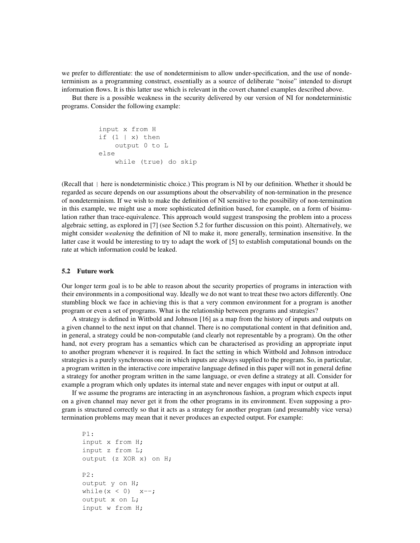we prefer to differentiate: the use of nondeterminism to allow under-specification, and the use of nondeterminism as a programming construct, essentially as a source of deliberate "noise" intended to disrupt information flows. It is this latter use which is relevant in the covert channel examples described above.

But there is a possible weakness in the security delivered by our version of NI for nondeterministic programs. Consider the following example:

```
input x from H
if (1 | x) then
    output 0 to L
else
    while (true) do skip
```
(Recall that | here is nondeterministic choice.) This program is NI by our definition. Whether it should be regarded as secure depends on our assumptions about the observability of non-termination in the presence of nondeterminism. If we wish to make the definition of NI sensitive to the possibility of non-termination in this example, we might use a more sophisticated definition based, for example, on a form of bisimulation rather than trace-equivalence. This approach would suggest transposing the problem into a process algebraic setting, as explored in [7] (see Section 5.2 for further discussion on this point). Alternatively, we might consider *weakening* the definition of NI to make it, more generally, termination insensitive. In the latter case it would be interesting to try to adapt the work of [5] to establish computational bounds on the rate at which information could be leaked.

### 5.2 Future work

Our longer term goal is to be able to reason about the security properties of programs in interaction with their environments in a compositional way. Ideally we do not want to treat these two actors differently. One stumbling block we face in achieving this is that a very common environment for a program is another program or even a set of programs. What is the relationship between programs and strategies?

A strategy is defined in Wittbold and Johnson [16] as a map from the history of inputs and outputs on a given channel to the next input on that channel. There is no computational content in that definition and, in general, a strategy could be non-computable (and clearly not representable by a program). On the other hand, not every program has a semantics which can be characterised as providing an appropriate input to another program whenever it is required. In fact the setting in which Wittbold and Johnson introduce strategies is a purely synchronous one in which inputs are always supplied to the program. So, in particular, a program written in the interactive core imperative language defined in this paper will not in general define a strategy for another program written in the same language, or even define a strategy at all. Consider for example a program which only updates its internal state and never engages with input or output at all.

If we assume the programs are interacting in an asynchronous fashion, a program which expects input on a given channel may never get it from the other programs in its environment. Even supposing a program is structured correctly so that it acts as a strategy for another program (and presumably vice versa) termination problems may mean that it never produces an expected output. For example:

```
P1:
input x from H;
input z from L;
output (z XOR x) on H;
P2:
output y on H;
while(x < 0) x--;output x on L;
input w from H;
```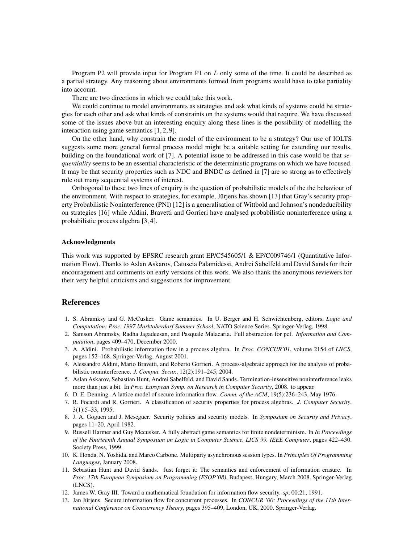Program P2 will provide input for Program P1 on L only some of the time. It could be described as a partial strategy. Any reasoning about environments formed from programs would have to take partiality into account.

There are two directions in which we could take this work.

We could continue to model environments as strategies and ask what kinds of systems could be strategies for each other and ask what kinds of constraints on the systems would that require. We have discussed some of the issues above but an interesting enquiry along these lines is the possibility of modelling the interaction using game semantics [1, 2, 9].

On the other hand, why constrain the model of the environment to be a strategy? Our use of IOLTS suggests some more general formal process model might be a suitable setting for extending our results, building on the foundational work of [7]. A potential issue to be addressed in this case would be that *sequentiality* seems to be an essential characteristic of the deterministic programs on which we have focused. It may be that security properties such as NDC and BNDC as defined in [7] are so strong as to effectively rule out many sequential systems of interest.

Orthogonal to these two lines of enquiry is the question of probabilistic models of the the behaviour of the environment. With respect to strategies, for example, Jürjens has shown [13] that Gray's security property Probabilistic Noninterference (PNI) [12] is a generalisation of Wittbold and Johnson's nondeducibility on strategies [16] while Aldini, Bravetti and Gorrieri have analysed probabilistic noninterference using a probabilistic process algebra [3, 4].

### Acknowledgments

This work was supported by EPSRC research grant EP/C545605/1 & EP/C009746/1 (Quantitative Information Flow). Thanks to Aslan Askarov, Catuscia Palamidessi, Andrei Sabelfeld and David Sands for their encouragement and comments on early versions of this work. We also thank the anonymous reviewers for their very helpful criticisms and suggestions for improvement.

## References

- 1. S. Abramksy and G. McCusker. Game semantics. In U. Berger and H. Schwichtenberg, editors, *Logic and Computation: Proc. 1997 Marktoberdorf Summer School*, NATO Science Series. Springer-Verlag, 1998.
- 2. Samson Abramsky, Radha Jagadeesan, and Pasquale Malacaria. Full abstraction for pcf. *Information and Computation*, pages 409–470, December 2000.
- 3. A. Aldini. Probabilistic information flow in a process algebra. In *Proc. CONCUR'01*, volume 2154 of *LNCS*, pages 152–168. Springer-Verlag, August 2001.
- 4. Alessandro Aldini, Mario Bravetti, and Roberto Gorrieri. A process-algebraic approach for the analysis of probabilistic noninterference. *J. Comput. Secur.*, 12(2):191–245, 2004.
- 5. Aslan Askarov, Sebastian Hunt, Andrei Sabelfeld, and David Sands. Termination-insensitive noninterference leaks more than just a bit. In *Proc. European Symp. on Research in Computer Security*, 2008. to appear.
- 6. D. E. Denning. A lattice model of secure information flow. *Comm. of the ACM*, 19(5):236–243, May 1976.
- 7. R. Focardi and R. Gorrieri. A classification of security properties for process algebras. *J. Computer Security*, 3(1):5–33, 1995.
- 8. J. A. Goguen and J. Meseguer. Security policies and security models. In *Symposium on Security and Privacy*, pages 11–20, April 1982.
- 9. Russell Harmer and Guy Mccusker. A fully abstract game semantics for finite nondeterminism. In *In Proceedings of the Fourteenth Annual Symposium on Logic in Computer Science, LICS 99. IEEE Computer*, pages 422–430. Society Press, 1999.
- 10. K. Honda, N. Yoshida, and Marco Carbone. Multiparty asynchronous session types. In *Principles Of Programming Languages*, January 2008.
- 11. Sebastian Hunt and David Sands. Just forget it: The semantics and enforcement of information erasure. In *Proc. 17th European Symposium on Programming (ESOP'08)*, Budapest, Hungary, March 2008. Springer-Verlag (LNCS).
- 12. James W. Gray III. Toward a mathematical foundation for information flow security. *sp*, 00:21, 1991.
- 13. Jan Jürjens. Secure information flow for concurrent processes. In CONCUR '00: Proceedings of the 11th Inter*national Conference on Concurrency Theory*, pages 395–409, London, UK, 2000. Springer-Verlag.